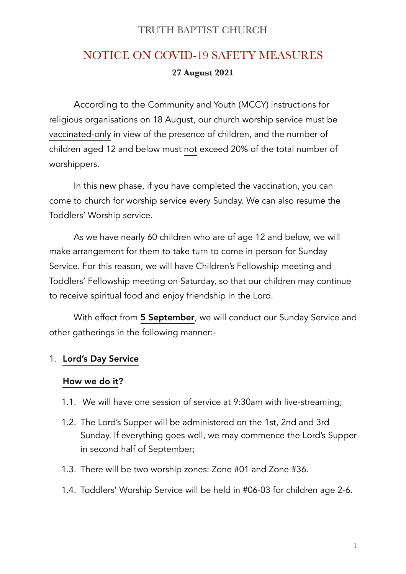### TRUTH BAPTIST CHURCH

# NOTICE ON COVID-19 SAFETY MEASURES **27 August 2021**

 According to the Community and Youth (MCCY) instructions for religious organisations on 18 August, our church worship service must be vaccinated-only in view of the presence of children, and the number of children aged 12 and below must not exceed 20% of the total number of worshippers.

 In this new phase, if you have completed the vaccination, you can come to church for worship service every Sunday. We can also resume the Toddlers' Worship service.

 As we have nearly 60 children who are of age 12 and below, we will make arrangement for them to take turn to come in person for Sunday Service. For this reason, we will have Children's Fellowship meeting and Toddlers' Fellowship meeting on Saturday, so that our children may continue to receive spiritual food and enjoy friendship in the Lord.

With effect from 5 September, we will conduct our Sunday Service and other gatherings in the following manner:-

#### 1. Lord's Day Service

#### How we do it?

- 1.1. We will have one session of service at 9:30am with live-streaming;
- 1.2. The Lord's Supper will be administered on the 1st, 2nd and 3rd Sunday. If everything goes well, we may commence the Lord's Supper in second half of September;
- 1.3. There will be two worship zones: Zone #01 and Zone #36.
- 1.4. Toddlers' Worship Service will be held in #06-03 for children age 2-6.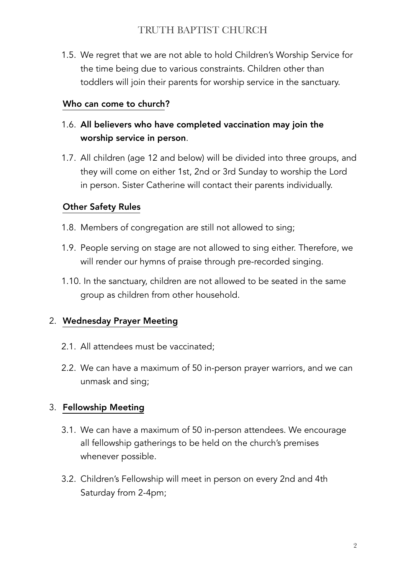## TRUTH BAPTIST CHURCH

1.5. We regret that we are not able to hold Children's Worship Service for the time being due to various constraints. Children other than toddlers will join their parents for worship service in the sanctuary.

#### Who can come to church?

- 1.6. All believers who have completed vaccination may join the worship service in person.
- 1.7. All children (age 12 and below) will be divided into three groups, and they will come on either 1st, 2nd or 3rd Sunday to worship the Lord in person. Sister Catherine will contact their parents individually.

#### Other Safety Rules

- 1.8. Members of congregation are still not allowed to sing;
- 1.9. People serving on stage are not allowed to sing either. Therefore, we will render our hymns of praise through pre-recorded singing.
- 1.10. In the sanctuary, children are not allowed to be seated in the same group as children from other household.

#### 2. Wednesday Prayer Meeting

- 2.1. All attendees must be vaccinated;
- 2.2. We can have a maximum of 50 in-person prayer warriors, and we can unmask and sing;

#### 3. Fellowship Meeting

- 3.1. We can have a maximum of 50 in-person attendees. We encourage all fellowship gatherings to be held on the church's premises whenever possible.
- 3.2. Children's Fellowship will meet in person on every 2nd and 4th Saturday from 2-4pm;